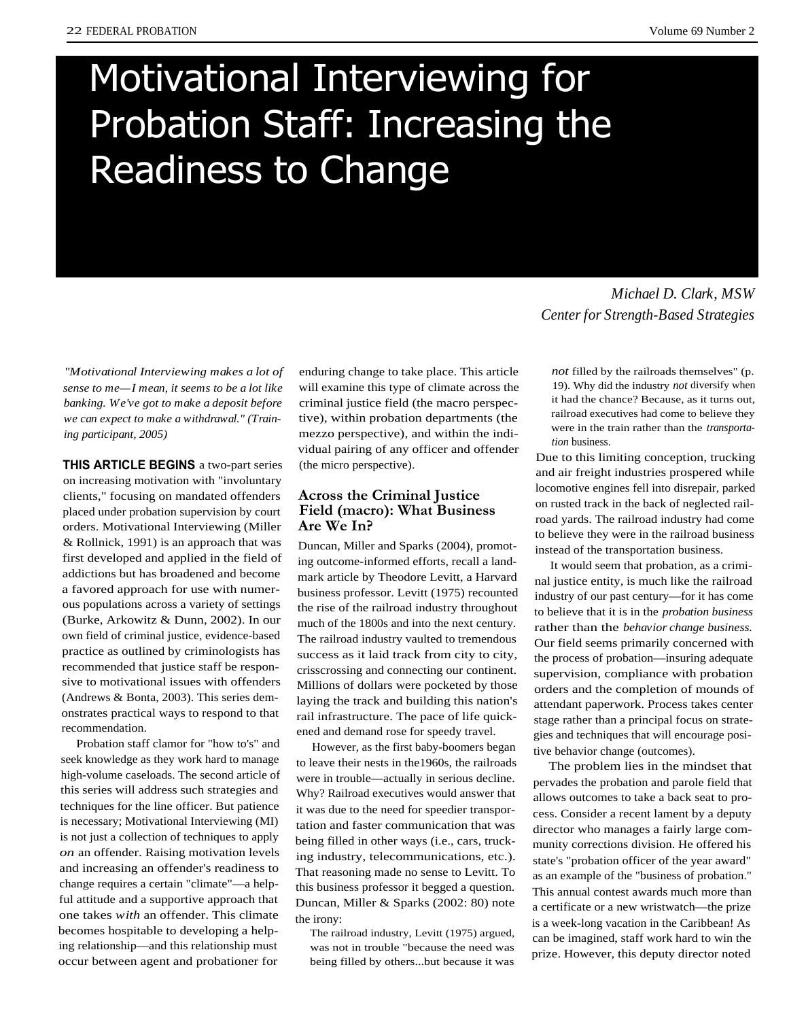# Motivational Interviewing for Probation Staff: Increasing the Readiness to Change

*"Motivational Interviewing makes a lot of sense to me—I mean, it seems to be a lot like banking. We've got to make a deposit before we can expect to make a withdrawal." (Training participant, 2005)*

**THIS ARTICLE BEGINS** a two-part series on increasing motivation with "involuntary clients," focusing on mandated offenders placed under probation supervision by court orders. Motivational Interviewing (Miller & Rollnick, 1991) is an approach that was first developed and applied in the field of addictions but has broadened and become a favored approach for use with numerous populations across a variety of settings (Burke, Arkowitz & Dunn, 2002). In our own field of criminal justice, evidence-based practice as outlined by criminologists has recommended that justice staff be responsive to motivational issues with offenders (Andrews & Bonta, 2003). This series demonstrates practical ways to respond to that recommendation.

Probation staff clamor for "how to's" and seek knowledge as they work hard to manage high-volume caseloads. The second article of this series will address such strategies and techniques for the line officer. But patience is necessary; Motivational Interviewing (MI) is not just a collection of techniques to apply *on* an offender. Raising motivation levels and increasing an offender's readiness to change requires a certain "climate"—a helpful attitude and a supportive approach that one takes *with* an offender. This climate becomes hospitable to developing a helping relationship—and this relationship must occur between agent and probationer for

enduring change to take place. This article will examine this type of climate across the criminal justice field (the macro perspective), within probation departments (the mezzo perspective), and within the individual pairing of any officer and offender (the micro perspective).

# **Across the Criminal Justice Field (macro): What Business Are We In?**

Duncan, Miller and Sparks (2004), promoting outcome-informed efforts, recall a landmark article by Theodore Levitt, a Harvard business professor. Levitt (1975) recounted the rise of the railroad industry throughout much of the 1800s and into the next century. The railroad industry vaulted to tremendous success as it laid track from city to city, crisscrossing and connecting our continent. Millions of dollars were pocketed by those laying the track and building this nation's rail infrastructure. The pace of life quickened and demand rose for speedy travel.

However, as the first baby-boomers began to leave their nests in the1960s, the railroads were in trouble—actually in serious decline. Why? Railroad executives would answer that it was due to the need for speedier transportation and faster communication that was being filled in other ways (i.e., cars, trucking industry, telecommunications, etc.). That reasoning made no sense to Levitt. To this business professor it begged a question. Duncan, Miller & Sparks (2002: 80) note the irony:

The railroad industry, Levitt (1975) argued, was not in trouble "because the need was being filled by others...but because it was

*Michael D. Clark, MSW Center for Strength-Based Strategies*

*not* filled by the railroads themselves" (p. 19). Why did the industry *not* diversify when it had the chance? Because, as it turns out, railroad executives had come to believe they were in the train rather than the *transportation* business.

Due to this limiting conception, trucking and air freight industries prospered while locomotive engines fell into disrepair, parked on rusted track in the back of neglected railroad yards. The railroad industry had come to believe they were in the railroad business instead of the transportation business.

It would seem that probation, as a criminal justice entity, is much like the railroad industry of our past century—for it has come to believe that it is in the *probation business* rather than the *behavior change business.* Our field seems primarily concerned with the process of probation—insuring adequate supervision, compliance with probation orders and the completion of mounds of attendant paperwork. Process takes center stage rather than a principal focus on strategies and techniques that will encourage positive behavior change (outcomes).

The problem lies in the mindset that pervades the probation and parole field that allows outcomes to take a back seat to process. Consider a recent lament by a deputy director who manages a fairly large community corrections division. He offered his state's "probation officer of the year award" as an example of the "business of probation." This annual contest awards much more than a certificate or a new wristwatch—the prize is a week-long vacation in the Caribbean! As can be imagined, staff work hard to win the prize. However, this deputy director noted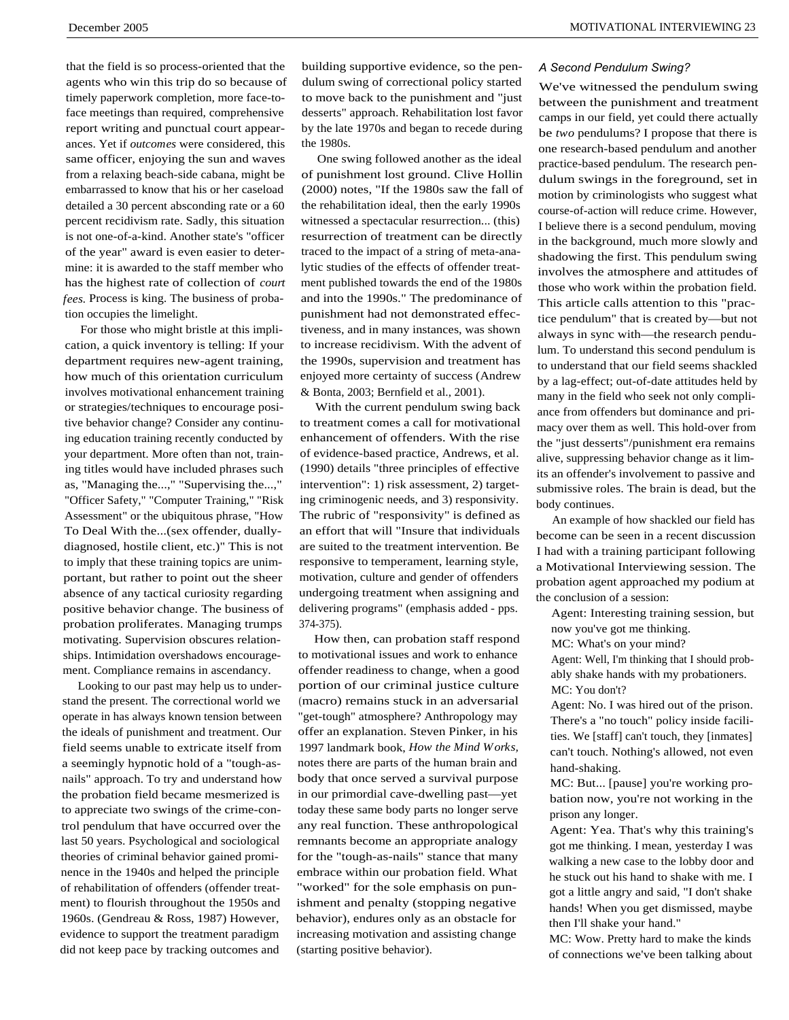that the field is so process-oriented that the agents who win this trip do so because of timely paperwork completion, more face-toface meetings than required, comprehensive report writing and punctual court appearances. Yet if *outcomes* were considered, this same officer, enjoying the sun and waves from a relaxing beach-side cabana, might be embarrassed to know that his or her caseload detailed a 30 percent absconding rate or a 60 percent recidivism rate. Sadly, this situation is not one-of-a-kind. Another state's "officer of the year" award is even easier to determine: it is awarded to the staff member who has the highest rate of collection of *court fees.* Process is king. The business of probation occupies the limelight.

For those who might bristle at this implication, a quick inventory is telling: If your department requires new-agent training, how much of this orientation curriculum involves motivational enhancement training or strategies/techniques to encourage positive behavior change? Consider any continuing education training recently conducted by your department. More often than not, training titles would have included phrases such as, "Managing the...," "Supervising the...," "Officer Safety," "Computer Training," "Risk Assessment" or the ubiquitous phrase, "How To Deal With the...(sex offender, duallydiagnosed, hostile client, etc.)" This is not to imply that these training topics are unimportant, but rather to point out the sheer absence of any tactical curiosity regarding positive behavior change. The business of probation proliferates. Managing trumps motivating. Supervision obscures relationships. Intimidation overshadows encouragement. Compliance remains in ascendancy.

Looking to our past may help us to understand the present. The correctional world we operate in has always known tension between the ideals of punishment and treatment. Our field seems unable to extricate itself from a seemingly hypnotic hold of a "tough-asnails" approach. To try and understand how the probation field became mesmerized is to appreciate two swings of the crime-control pendulum that have occurred over the last 50 years. Psychological and sociological theories of criminal behavior gained prominence in the 1940s and helped the principle of rehabilitation of offenders (offender treatment) to flourish throughout the 1950s and 1960s. (Gendreau & Ross, 1987) However, evidence to support the treatment paradigm did not keep pace by tracking outcomes and

building supportive evidence, so the pendulum swing of correctional policy started to move back to the punishment and "just desserts" approach. Rehabilitation lost favor by the late 1970s and began to recede during the 1980s.

One swing followed another as the ideal of punishment lost ground. Clive Hollin (2000) notes, "If the 1980s saw the fall of the rehabilitation ideal, then the early 1990s witnessed a spectacular resurrection... (this) resurrection of treatment can be directly traced to the impact of a string of meta-analytic studies of the effects of offender treatment published towards the end of the 1980s and into the 1990s." The predominance of punishment had not demonstrated effectiveness, and in many instances, was shown to increase recidivism. With the advent of the 1990s, supervision and treatment has enjoyed more certainty of success (Andrew & Bonta, 2003; Bernfield et al., 2001).

With the current pendulum swing back to treatment comes a call for motivational enhancement of offenders. With the rise of evidence-based practice, Andrews, et al. (1990) details "three principles of effective intervention": 1) risk assessment, 2) targeting criminogenic needs, and 3) responsivity. The rubric of "responsivity" is defined as an effort that will "Insure that individuals are suited to the treatment intervention. Be responsive to temperament, learning style, motivation, culture and gender of offenders undergoing treatment when assigning and delivering programs" (emphasis added - pps. 374-375).

How then, can probation staff respond to motivational issues and work to enhance offender readiness to change, when a good portion of our criminal justice culture (macro) remains stuck in an adversarial "get-tough" atmosphere? Anthropology may offer an explanation. Steven Pinker, in his 1997 landmark book, *How the Mind Works,* notes there are parts of the human brain and body that once served a survival purpose in our primordial cave-dwelling past—yet today these same body parts no longer serve any real function. These anthropological remnants become an appropriate analogy for the "tough-as-nails" stance that many embrace within our probation field. What "worked" for the sole emphasis on punishment and penalty (stopping negative behavior), endures only as an obstacle for increasing motivation and assisting change (starting positive behavior).

#### *A Second Pendulum Swing?*

We've witnessed the pendulum swing between the punishment and treatment camps in our field, yet could there actually be *two* pendulums? I propose that there is one research-based pendulum and another practice-based pendulum. The research pendulum swings in the foreground, set in motion by criminologists who suggest what course-of-action will reduce crime. However, I believe there is a second pendulum, moving in the background, much more slowly and shadowing the first. This pendulum swing involves the atmosphere and attitudes of those who work within the probation field. This article calls attention to this "practice pendulum" that is created by—but not always in sync with—the research pendulum. To understand this second pendulum is to understand that our field seems shackled by a lag-effect; out-of-date attitudes held by many in the field who seek not only compliance from offenders but dominance and primacy over them as well. This hold-over from the "just desserts"/punishment era remains alive, suppressing behavior change as it limits an offender's involvement to passive and submissive roles. The brain is dead, but the body continues.

An example of how shackled our field has become can be seen in a recent discussion I had with a training participant following a Motivational Interviewing session. The probation agent approached my podium at the conclusion of a session:

Agent: Interesting training session, but now you've got me thinking.

MC: What's on your mind?

Agent: Well, I'm thinking that I should probably shake hands with my probationers. MC: You don't?

Agent: No. I was hired out of the prison. There's a "no touch" policy inside facilities. We [staff] can't touch, they [inmates] can't touch. Nothing's allowed, not even hand-shaking.

MC: But... [pause] you're working probation now, you're not working in the prison any longer.

Agent: Yea. That's why this training's got me thinking. I mean, yesterday I was walking a new case to the lobby door and he stuck out his hand to shake with me. I got a little angry and said, "I don't shake hands! When you get dismissed, maybe then I'll shake your hand."

MC: Wow. Pretty hard to make the kinds of connections we've been talking about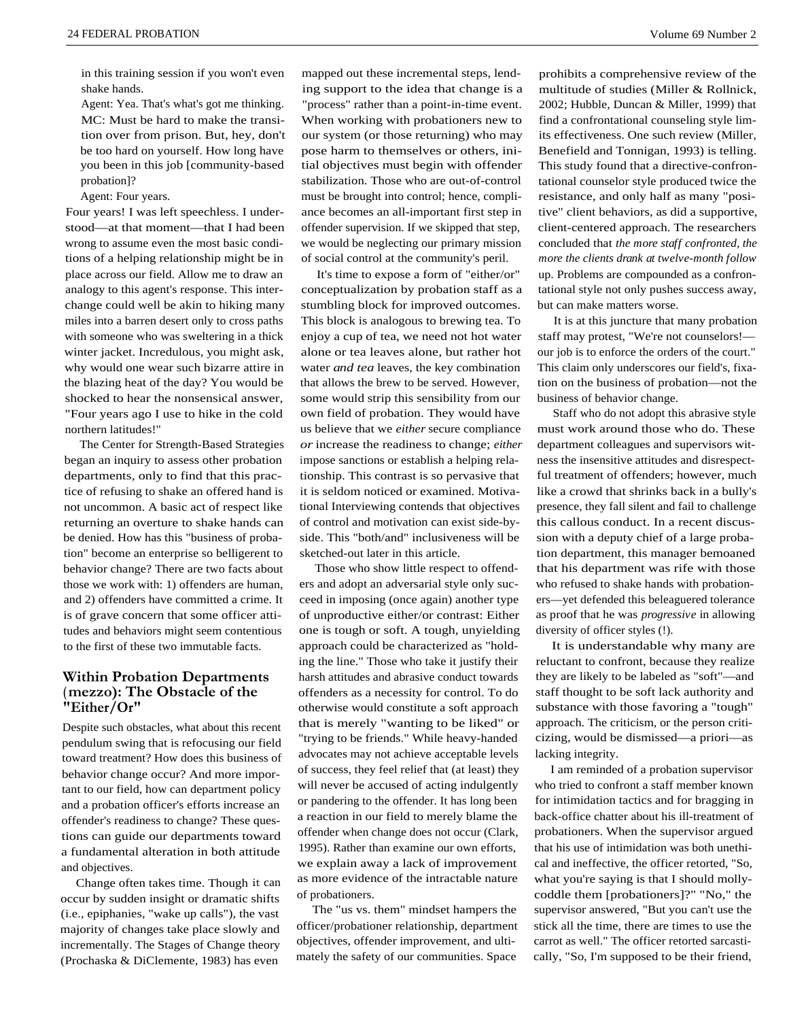in this training session if you won't even shake hands.

Agent: Yea. That's what's got me thinking. MC: Must be hard to make the transition over from prison. But, hey, don't be too hard on yourself. How long have you been in this job [community-based probation]?

Agent: Four years.

Four years! I was left speechless. I understood—at that moment—that I had been wrong to assume even the most basic conditions of a helping relationship might be in place across our field. Allow me to draw an analogy to this agent's response. This interchange could well be akin to hiking many miles into a barren desert only to cross paths with someone who was sweltering in a thick winter jacket. Incredulous, you might ask, why would one wear such bizarre attire in the blazing heat of the day? You would be shocked to hear the nonsensical answer, "Four years ago I use to hike in the cold northern latitudes!"

The Center for Strength-Based Strategies began an inquiry to assess other probation departments, only to find that this practice of refusing to shake an offered hand is not uncommon. A basic act of respect like returning an overture to shake hands can be denied. How has this "business of probation" become an enterprise so belligerent to behavior change? There are two facts about those we work with: 1) offenders are human, and 2) offenders have committed a crime. It is of grave concern that some officer attitudes and behaviors might seem contentious to the first of these two immutable facts.

# **Within Probation Departments ( mezzo): The Obstacle of the "Either/Or"**

Despite such obstacles, what about this recent pendulum swing that is refocusing our field toward treatment? How does this business of behavior change occur? And more important to our field, how can department policy and a probation officer's efforts increase an offender's readiness to change? These questions can guide our departments toward a fundamental alteration in both attitude and objectives.

Change often takes time. Though it can occur by sudden insight or dramatic shifts (i.e., epiphanies, "wake up calls"), the vast majority of changes take place slowly and incrementally. The Stages of Change theory (Prochaska & DiClemente, 1983) has even

mapped out these incremental steps, lending support to the idea that change is a "process" rather than a point-in-time event. When working with probationers new to our system (or those returning) who may pose harm to themselves or others, initial objectives must begin with offender stabilization. Those who are out-of-control must be brought into control; hence, compliance becomes an all-important first step in offender supervision. If we skipped that step, we would be neglecting our primary mission of social control at the community's peril.

It's time to expose a form of "either/or" conceptualization by probation staff as a stumbling block for improved outcomes. This block is analogous to brewing tea. To enjoy a cup of tea, we need not hot water alone or tea leaves alone, but rather hot water *and tea* leaves, the key combination that allows the brew to be served. However, some would strip this sensibility from our own field of probation. They would have us believe that we *either* secure compliance *or* increase the readiness to change; *either* impose sanctions or establish a helping relationship. This contrast is so pervasive that it is seldom noticed or examined. Motivational Interviewing contends that objectives of control and motivation can exist side-byside. This "both/and" inclusiveness will be sketched-out later in this article.

Those who show little respect to offenders and adopt an adversarial style only succeed in imposing (once again) another type of unproductive either/or contrast: Either one is tough or soft. A tough, unyielding approach could be characterized as "holding the line." Those who take it justify their harsh attitudes and abrasive conduct towards offenders as a necessity for control. To do otherwise would constitute a soft approach that is merely "wanting to be liked" or "trying to be friends." While heavy-handed advocates may not achieve acceptable levels of success, they feel relief that (at least) they will never be accused of acting indulgently or pandering to the offender. It has long been a reaction in our field to merely blame the offender when change does not occur (Clark, 1995). Rather than examine our own efforts, we explain away a lack of improvement as more evidence of the intractable nature of probationers.

The "us vs. them" mindset hampers the officer/probationer relationship, department objectives, offender improvement, and ultimately the safety of our communities. Space

prohibits a comprehensive review of the multitude of studies (Miller & Rollnick, 2002; Hubble, Duncan & Miller, 1999) that find a confrontational counseling style limits effectiveness. One such review (Miller, Benefield and Tonnigan, 1993) is telling. This study found that a directive-confrontational counselor style produced twice the resistance, and only half as many "positive" client behaviors, as did a supportive, client-centered approach. The researchers concluded that *the more staff confronted, the more the clients drank at twelve-month follow* up. Problems are compounded as a confrontational style not only pushes success away, but can make matters worse.

It is at this juncture that many probation staff may protest, "We're not counselors! our job is to enforce the orders of the court." This claim only underscores our field's, fixation on the business of probation—not the business of behavior change.

Staff who do not adopt this abrasive style must work around those who do. These department colleagues and supervisors witness the insensitive attitudes and disrespectful treatment of offenders; however, much like a crowd that shrinks back in a bully's presence, they fall silent and fail to challenge this callous conduct. In a recent discussion with a deputy chief of a large probation department, this manager bemoaned that his department was rife with those who refused to shake hands with probationers—yet defended this beleaguered tolerance as proof that he was *progressive* in allowing diversity of officer styles (!).

It is understandable why many are reluctant to confront, because they realize they are likely to be labeled as "soft"—and staff thought to be soft lack authority and substance with those favoring a "tough" approach. The criticism, or the person criticizing, would be dismissed—a priori—as lacking integrity.

I am reminded of a probation supervisor who tried to confront a staff member known for intimidation tactics and for bragging in back-office chatter about his ill-treatment of probationers. When the supervisor argued that his use of intimidation was both unethical and ineffective, the officer retorted, "So, what you're saying is that I should mollycoddle them [probationers]?" "No," the supervisor answered, "But you can't use the stick all the time, there are times to use the carrot as well." The officer retorted sarcastically, "So, I'm supposed to be their friend,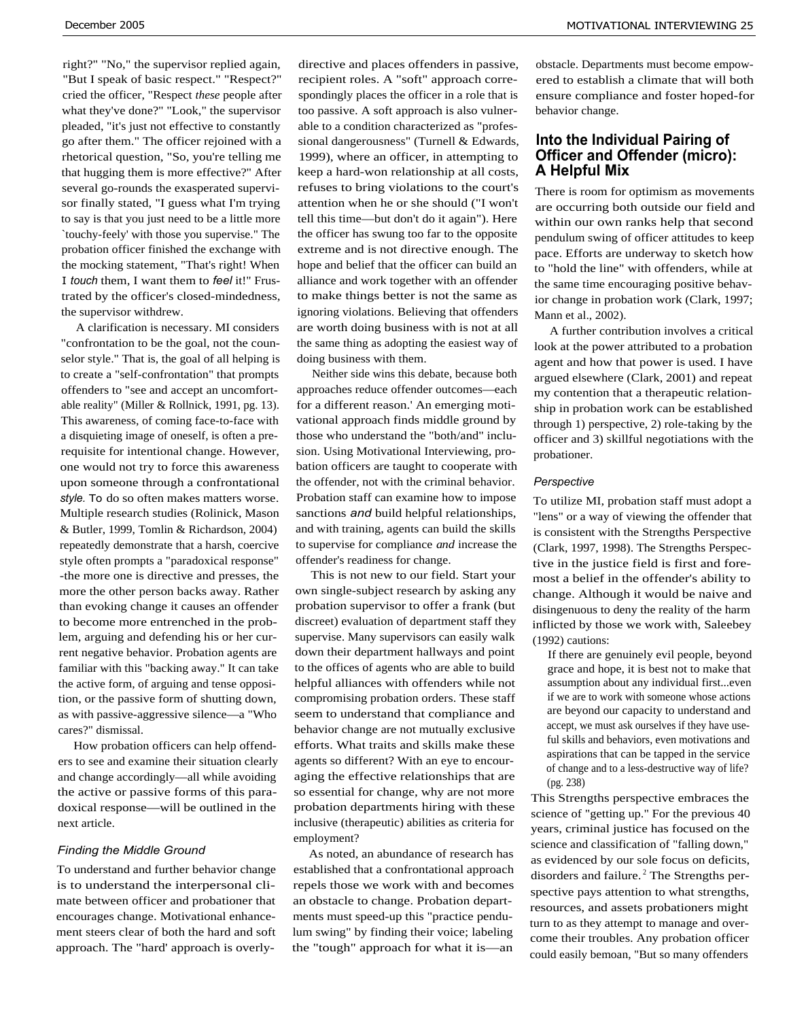right?" "No," the supervisor replied again, "But I speak of basic respect." "Respect?" cried the officer, "Respect *these* people after what they've done?" "Look," the supervisor pleaded, "it's just not effective to constantly go after them." The officer rejoined with a rhetorical question, "So, you're telling me that hugging them is more effective?" After several go-rounds the exasperated supervisor finally stated, "I guess what I'm trying to say is that you just need to be a little more `touchy-feely' with those you supervise." The probation officer finished the exchange with the mocking statement, "That's right! When I *touch* them, I want them to *feel* it!" Frustrated by the officer's closed-mindedness, the supervisor withdrew.

A clarification is necessary. MI considers "confrontation to be the goal, not the counselor style." That is, the goal of all helping is to create a "self-confrontation" that prompts offenders to "see and accept an uncomfortable reality" (Miller & Rollnick, 1991, pg. 13). This awareness, of coming face-to-face with a disquieting image of oneself, is often a prerequisite for intentional change. However, one would not try to force this awareness upon someone through a confrontational *style.* To do so often makes matters worse. Multiple research studies (Rolinick, Mason & Butler, 1999, Tomlin & Richardson, 2004) repeatedly demonstrate that a harsh, coercive style often prompts a "paradoxical response" -the more one is directive and presses, the more the other person backs away. Rather than evoking change it causes an offender to become more entrenched in the problem, arguing and defending his or her current negative behavior. Probation agents are familiar with this "backing away." It can take the active form, of arguing and tense opposition, or the passive form of shutting down, as with passive-aggressive silence—a "Who cares?" dismissal.

How probation officers can help offenders to see and examine their situation clearly and change accordingly—all while avoiding the active or passive forms of this paradoxical response—will be outlined in the next article.

#### *Finding the Middle Ground*

To understand and further behavior change is to understand the interpersonal climate between officer and probationer that encourages change. Motivational enhancement steers clear of both the hard and soft approach. The "hard' approach is overly-

directive and places offenders in passive, recipient roles. A "soft" approach correspondingly places the officer in a role that is too passive. A soft approach is also vulnerable to a condition characterized as "professional dangerousness" (Turnell & Edwards, 1999), where an officer, in attempting to keep a hard-won relationship at all costs, refuses to bring violations to the court's attention when he or she should ("I won't tell this time—but don't do it again"). Here the officer has swung too far to the opposite extreme and is not directive enough. The hope and belief that the officer can build an alliance and work together with an offender to make things better is not the same as ignoring violations. Believing that offenders are worth doing business with is not at all the same thing as adopting the easiest way of doing business with them.

Neither side wins this debate, because both approaches reduce offender outcomes—each for a different reason.' An emerging motivational approach finds middle ground by those who understand the "both/and" inclusion. Using Motivational Interviewing, probation officers are taught to cooperate with the offender, not with the criminal behavior. Probation staff can examine how to impose sanctions *and* build helpful relationships, and with training, agents can build the skills to supervise for compliance *and* increase the offender's readiness for change.

This is not new to our field. Start your own single-subject research by asking any probation supervisor to offer a frank (but discreet) evaluation of department staff they supervise. Many supervisors can easily walk down their department hallways and point to the offices of agents who are able to build helpful alliances with offenders while not compromising probation orders. These staff seem to understand that compliance and behavior change are not mutually exclusive efforts. What traits and skills make these agents so different? With an eye to encouraging the effective relationships that are so essential for change, why are not more probation departments hiring with these inclusive (therapeutic) abilities as criteria for employment?

As noted, an abundance of research has established that a confrontational approach repels those we work with and becomes an obstacle to change. Probation departments must speed-up this "practice pendulum swing" by finding their voice; labeling the "tough" approach for what it is—an

obstacle. Departments must become empowered to establish a climate that will both ensure compliance and foster hoped-for behavior change.

# **Into the Individual Pairing of Officer and Offender (micro): A Helpful Mix**

There is room for optimism as movements are occurring both outside our field and within our own ranks help that second pendulum swing of officer attitudes to keep pace. Efforts are underway to sketch how to "hold the line" with offenders, while at the same time encouraging positive behavior change in probation work (Clark, 1997; Mann et al., 2002).

A further contribution involves a critical look at the power attributed to a probation agent and how that power is used. I have argued elsewhere (Clark, 2001) and repeat my contention that a therapeutic relationship in probation work can be established through 1) perspective, 2) role-taking by the officer and 3) skillful negotiations with the probationer.

#### *Perspective*

To utilize MI, probation staff must adopt a "lens" or a way of viewing the offender that is consistent with the Strengths Perspective (Clark, 1997, 1998). The Strengths Perspective in the justice field is first and foremost a belief in the offender's ability to change. Although it would be naive and disingenuous to deny the reality of the harm inflicted by those we work with, Saleebey (1992) cautions:

If there are genuinely evil people, beyond grace and hope, it is best not to make that assumption about any individual first...even if we are to work with someone whose actions are beyond our capacity to understand and accept, we must ask ourselves if they have useful skills and behaviors, even motivations and aspirations that can be tapped in the service of change and to a less-destructive way of life? (pg. 238)

This Strengths perspective embraces the science of "getting up." For the previous 40 years, criminal justice has focused on the science and classification of "falling down," as evidenced by our sole focus on deficits, disorders and failure.<sup>2</sup> The Strengths perspective pays attention to what strengths, resources, and assets probationers might turn to as they attempt to manage and overcome their troubles. Any probation officer could easily bemoan, "But so many offenders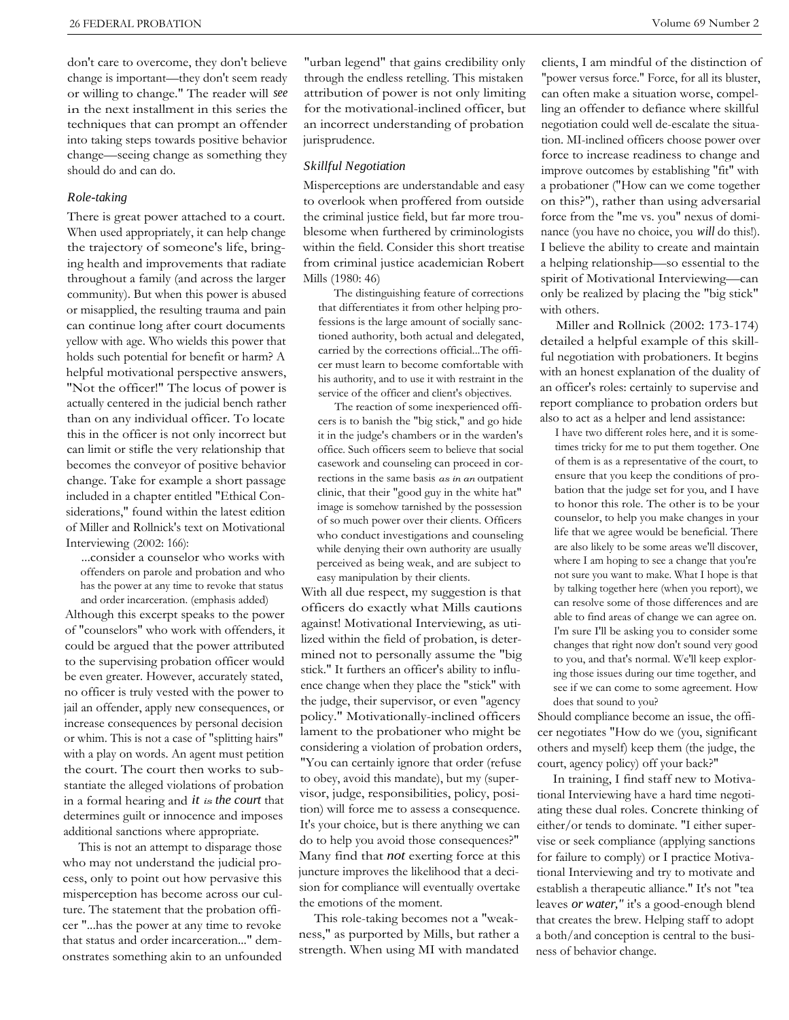don't care to overcome, they don't believe change is important—they don't seem ready or willing to change." The reader will *see* in the next installment in this series the techniques that can prompt an offender into taking steps towards positive behavior change—seeing change as something they should do and can do.

#### *Role-taking*

There is great power attached to a court. When used appropriately, it can help change the trajectory of someone's life, bringing health and improvements that radiate throughout a family (and across the larger community). But when this power is abused or misapplied, the resulting trauma and pain can continue long after court documents yellow with age. Who wields this power that holds such potential for benefit or harm? A helpful motivational perspective answers, "Not the officer!" The locus of power is actually centered in the judicial bench rather than on any individual officer. To locate this in the officer is not only incorrect but can limit or stifle the very relationship that becomes the conveyor of positive behavior change. Take for example a short passage included in a chapter entitled "Ethical Considerations," found within the latest edition of Miller and Rollnick's text on Motivational Interviewing (2002: 166):

...consider a counselor who works with offenders on parole and probation and who has the power at any time to revoke that status and order incarceration. (emphasis added)

Although this excerpt speaks to the power of "counselors" who work with offenders, it could be argued that the power attributed to the supervising probation officer would be even greater. However, accurately stated, no officer is truly vested with the power to jail an offender, apply new consequences, or increase consequences by personal decision or whim. This is not a case of "splitting hairs" with a play on words. An agent must petition the court. The court then works to substantiate the alleged violations of probation in a formal hearing and *it is the court* that determines guilt or innocence and imposes additional sanctions where appropriate.

This is not an attempt to disparage those who may not understand the judicial process, only to point out how pervasive this misperception has become across our culture. The statement that the probation officer "...has the power at any time to revoke that status and order incarceration..." demonstrates something akin to an unfounded

"urban legend" that gains credibility only through the endless retelling. This mistaken attribution of power is not only limiting for the motivational-inclined officer, but an incorrect understanding of probation jurisprudence.

#### *Skillful Negotiation*

Misperceptions are understandable and easy to overlook when proffered from outside the criminal justice field, but far more troublesome when furthered by criminologists within the field. Consider this short treatise from criminal justice academician Robert Mills (1980: 46)

The distinguishing feature of corrections that differentiates it from other helping professions is the large amount of socially sanctioned authority, both actual and delegated, carried by the corrections official...The officer must learn to become comfortable with his authority, and to use it with restraint in the service of the officer and client's objectives.

The reaction of some inexperienced officers is to banish the "big stick," and go hide it in the judge's chambers or in the warden's office. Such officers seem to believe that social casework and counseling can proceed in corrections in the same basis *as in an* outpatient clinic, that their "good guy in the white hat" image is somehow tarnished by the possession of so much power over their clients. Officers who conduct investigations and counseling while denying their own authority are usually perceived as being weak, and are subject to easy manipulation by their clients.

With all due respect, my suggestion is that officers do exactly what Mills cautions against! Motivational Interviewing, as utilized within the field of probation, is determined not to personally assume the "big stick." It furthers an officer's ability to influence change when they place the "stick" with the judge, their supervisor, or even "agency policy." Motivationally-inclined officers lament to the probationer who might be considering a violation of probation orders, "You can certainly ignore that order (refuse to obey, avoid this mandate), but my (supervisor, judge, responsibilities, policy, position) will force me to assess a consequence. It's your choice, but is there anything we can do to help you avoid those consequences?" Many find that *not* exerting force at this juncture improves the likelihood that a decision for compliance will eventually overtake the emotions of the moment.

This role-taking becomes not a "weakness," as purported by Mills, but rather a strength. When using MI with mandated

clients, I am mindful of the distinction of "power versus force." Force, for all its bluster, can often make a situation worse, compelling an offender to defiance where skillful negotiation could well de-escalate the situation. MI-inclined officers choose power over force to increase readiness to change and improve outcomes by establishing "fit" with a probationer ("How can we come together on this?"), rather than using adversarial force from the "me vs. you" nexus of dominance (you have no choice, you *will* do this!). I believe the ability to create and maintain a helping relationship—so essential to the spirit of Motivational Interviewing—can only be realized by placing the "big stick" with others.

Miller and Rollnick (2002: 173-174) detailed a helpful example of this skillful negotiation with probationers. It begins with an honest explanation of the duality of an officer's roles: certainly to supervise and report compliance to probation orders but also to act as a helper and lend assistance:

I have two different roles here, and it is sometimes tricky for me to put them together. One of them is as a representative of the court, to ensure that you keep the conditions of probation that the judge set for you, and I have to honor this role. The other is to be your counselor, to help you make changes in your life that we agree would be beneficial. There are also likely to be some areas we'll discover, where I am hoping to see a change that you're not sure you want to make. What I hope is that by talking together here (when you report), we can resolve some of those differences and are able to find areas of change we can agree on. I'm sure I'll be asking you to consider some changes that right now don't sound very good to you, and that's normal. We'll keep exploring those issues during our time together, and see if we can come to some agreement. How does that sound to you?

Should compliance become an issue, the officer negotiates "How do we (you, significant others and myself) keep them (the judge, the court, agency policy) off your back?"

In training, I find staff new to Motivational Interviewing have a hard time negotiating these dual roles. Concrete thinking of either/or tends to dominate. "I either supervise or seek compliance (applying sanctions for failure to comply) or I practice Motivational Interviewing and try to motivate and establish a therapeutic alliance." It's not "tea leaves *or water,"* it's a good-enough blend that creates the brew. Helping staff to adopt a both/and conception is central to the business of behavior change.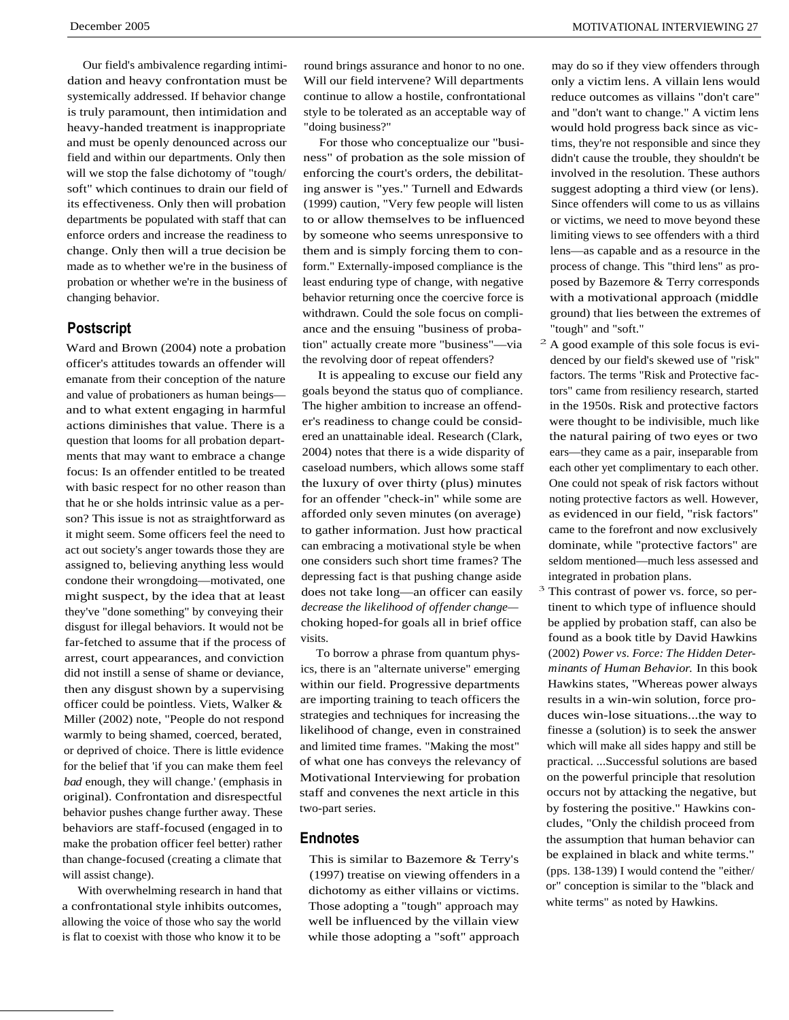Our field's ambivalence regarding intimidation and heavy confrontation must be systemically addressed. If behavior change is truly paramount, then intimidation and heavy-handed treatment is inappropriate and must be openly denounced across our field and within our departments. Only then will we stop the false dichotomy of "tough/ soft" which continues to drain our field of its effectiveness. Only then will probation departments be populated with staff that can enforce orders and increase the readiness to change. Only then will a true decision be made as to whether we're in the business of probation or whether we're in the business of changing behavior.

## **Postscript**

Ward and Brown (2004) note a probation officer's attitudes towards an offender will emanate from their conception of the nature and value of probationers as human beings and to what extent engaging in harmful actions diminishes that value. There is a question that looms for all probation departments that may want to embrace a change focus: Is an offender entitled to be treated with basic respect for no other reason than that he or she holds intrinsic value as a person? This issue is not as straightforward as it might seem. Some officers feel the need to act out society's anger towards those they are assigned to, believing anything less would condone their wrongdoing—motivated, one might suspect, by the idea that at least they've "done something" by conveying their disgust for illegal behaviors. It would not be far-fetched to assume that if the process of arrest, court appearances, and conviction did not instill a sense of shame or deviance, then any disgust shown by a supervising officer could be pointless. Viets, Walker & Miller (2002) note, "People do not respond warmly to being shamed, coerced, berated, or deprived of choice. There is little evidence for the belief that 'if you can make them feel *bad* enough, they will change.' (emphasis in original). Confrontation and disrespectful behavior pushes change further away. These behaviors are staff-focused (engaged in to make the probation officer feel better) rather than change-focused (creating a climate that will assist change).

With overwhelming research in hand that a confrontational style inhibits outcomes, allowing the voice of those who say the world is flat to coexist with those who know it to be

round brings assurance and honor to no one. Will our field intervene? Will departments continue to allow a hostile, confrontational style to be tolerated as an acceptable way of "doing business?"

For those who conceptualize our "business" of probation as the sole mission of enforcing the court's orders, the debilitating answer is "yes." Turnell and Edwards (1999) caution, "Very few people will listen to or allow themselves to be influenced by someone who seems unresponsive to them and is simply forcing them to conform." Externally-imposed compliance is the least enduring type of change, with negative behavior returning once the coercive force is withdrawn. Could the sole focus on compliance and the ensuing "business of probation" actually create more "business"—via the revolving door of repeat offenders?

It is appealing to excuse our field any goals beyond the status quo of compliance. The higher ambition to increase an offender's readiness to change could be considered an unattainable ideal. Research (Clark, 2004) notes that there is a wide disparity of caseload numbers, which allows some staff the luxury of over thirty (plus) minutes for an offender "check-in" while some are afforded only seven minutes (on average) to gather information. Just how practical can embracing a motivational style be when one considers such short time frames? The depressing fact is that pushing change aside does not take long—an officer can easily *decrease the likelihood of offender change* choking hoped-for goals all in brief office visits.

To borrow a phrase from quantum physics, there is an "alternate universe" emerging within our field. Progressive departments are importing training to teach officers the strategies and techniques for increasing the likelihood of change, even in constrained and limited time frames. "Making the most" of what one has conveys the relevancy of Motivational Interviewing for probation staff and convenes the next article in this two-part series.

### **Endnotes**

This is similar to Bazemore & Terry's (1997) treatise on viewing offenders in a dichotomy as either villains or victims. Those adopting a "tough" approach may well be influenced by the villain view while those adopting a "soft" approach

may do so if they view offenders through only a victim lens. A villain lens would reduce outcomes as villains "don't care" and "don't want to change." A victim lens would hold progress back since as victims, they're not responsible and since they didn't cause the trouble, they shouldn't be involved in the resolution. These authors suggest adopting a third view (or lens). Since offenders will come to us as villains or victims, we need to move beyond these limiting views to see offenders with a third lens—as capable and as a resource in the process of change. This "third lens" as proposed by Bazemore & Terry corresponds with a motivational approach (middle ground) that lies between the extremes of "tough" and "soft."

- $2 A$  good example of this sole focus is evidenced by our field's skewed use of "risk" factors. The terms "Risk and Protective factors" came from resiliency research, started in the 1950s. Risk and protective factors were thought to be indivisible, much like the natural pairing of two eyes or two ears—they came as a pair, inseparable from each other yet complimentary to each other. One could not speak of risk factors without noting protective factors as well. However, as evidenced in our field, "risk factors" came to the forefront and now exclusively dominate, while "protective factors" are seldom mentioned—much less assessed and integrated in probation plans.
- <sup>3</sup> This contrast of power vs. force, so pertinent to which type of influence should be applied by probation staff, can also be found as a book title by David Hawkins (2002) *Power vs. Force: The Hidden Determinants of Human Behavior.* In this book Hawkins states, "Whereas power always results in a win-win solution, force produces win-lose situations...the way to finesse a (solution) is to seek the answer which will make all sides happy and still be practical. ...Successful solutions are based on the powerful principle that resolution occurs not by attacking the negative, but by fostering the positive." Hawkins concludes, "Only the childish proceed from the assumption that human behavior can be explained in black and white terms." (pps. 138-139) I would contend the "either/ or" conception is similar to the "black and white terms" as noted by Hawkins.